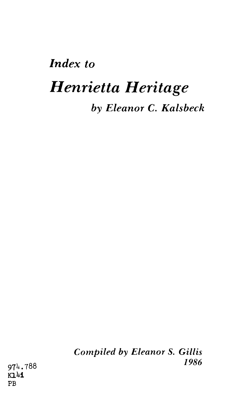## *Index to Henrietta Heritage by Eleanor C. Kalsbeck*

*Compiled by Eleanor S. Gillis 1986*

974.788 **KL41 PB**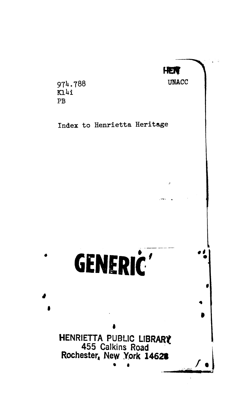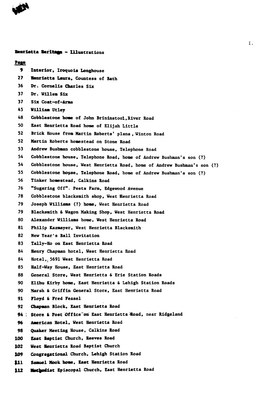

**Henrietta Heritaea - Illustrations Page 9 Interior, Iroquols Longhouse 27 Henrietta Laura. Countess of Bath 36 Dr. Cornells Charles Six 37 Dr. Willem Six 37 Six Coat-of-Arms 45 William Utley 48 Cobblestone home of John Brinlnstool,River Road 50 East Henrietta Road home of Elijah Little 52 Brick House from Martin Roberts' plans , Winton Road 52 Martin Roberts homestead on Stone Road 53 Andrew Bushman cobblestone house, Telephone Road 54 Cobblestone house, Telephone Road, home of Andrew Bushman's son (?) 54 Cobblestone house, West Henrietta Road, home of Andrew Bushman's son (?) 55 Cobblestone house, Telephone Road, home of Andrew Bushman's son (?) 56 Tinker homestead, Calkins Road 76 "Sugaring Off". Peets Farm, Edgewood Avenue 78 Cobblestone blacksmith shop, West Henrietta Road 79 Joseph Williams (?) home, West Henrietta Road 79 Blacksmith & Wagon Making Shop, West Henrietta Road 80 Alexander Williams home, West Henrietta Road 81 Philip Kazmayer, West Henrietta Blacksmith 82 New Tear's Ball Invitation 83 Tally-Ho on East Henrietta Road 84 Henry Chapman hotel, West Henrietta Road 84 Hotel,. 5691 West Henrietta Road 85 Half-Way House, East Henrietta Road 88 General Store, West Henrietta & Erie Station Roads 90 Elihu Kirby home, East Henrietta & Lehigh Station Roads 90 Marsh & Griffin General Store, East Henrietta Road 91 Floyd & Fred Feasel 92 Chapman Block, East Henrietta Road 94 : Store & Post Office~on East Henrietta Road, near Ridgeland 96 American Hotel, West Henrietta Road 98 Quaker Meeting House, Calkins Road 100 East Baptist Church, Reeves Road 102 West Henrietta Road Baptist Church 109 Congregational Church, Lehigh Station Road |11 Samuel Hook home, East Henrietta Road %12 Methodist Episcopal Church, East Henrietta Road**

**I.**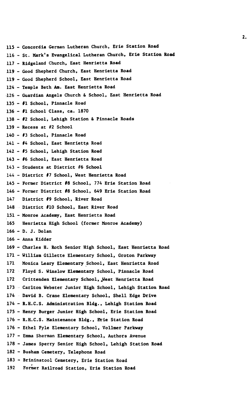**115 - Concordia German Lutheran Church, Erie Station Road 116 - St. Mark's Evangelical Lutheran Church, Erie Station Road 117 - Ridgeland Church, East Henrietta Road 119 - Good Shepherd Church, East Henrietta Road 119 - Good Shepherd School, East Henrietta Road 124 - Temple Beth Am. East Henrietta Road •126 - Guardian Angels Church & School, East Henrietta Road 135 - #1 School, Pinnacle Road 136 - #1 School Class, ca. 1870 138 - #2 School, Lehigh Station & Pinnacle Roads 139 - Recess at #2 School 140 - #3 School, Pinnacle Road 141 - #4 School, East Henrietta Road 142 - #5 School, Lehigh Station Road 143 - #6 School, East Henrietta Road 143 - Students at District #6 School 144 - District #7 School, West Henrietta Road 145 - Former District #8 School, 774 Erie Station Road 146 - Former District #8 School, 649 Erie Station Road 147 District #9 School, River Road 148 District #10 School, East River Road 151 - Monroe Academy, East Henrietta Road 165 Henrietta High School (former Monroe Academy) 166 - D. J. Dolan 166 - Anna Kidder 169 - Charles H. Roth Senior High School, East Henrietta Road 171 - William Gillette Elementary School, Groton Parkway 171 Monica Leary Elementary School, East Henrietta Road 172 Floyd S. Winslow Elementary School, Pinnacle Road 172 Crittenden Elementary School, Jfest Henrietta Road 173 Carlton Webster Junior High School, Lehigh Station Road 174 David B. Crane Elementary School, Shell Edge Drive 174 - R.H.C.S. Administration Bldg., Lehigh Station Road 175 - Henry Burger Junior High School, Erie Station Road 176 - R.H.C.S. Maintenance Bldg., Brie Station Road 176 - Ethel Fyle Elementary School, Vollmer Parkway 177 - Emma Sherman Elementary School, Authors Avenue 178 - James Sperry Senior High School, Lehigh Station Road 182 - Busham Cemetery, Telephone Road 183 - Brininstool Cemetery, Erie Station Road 192 Former Railroad Station, Erie Station Road**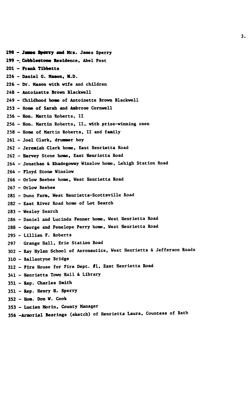198 - Janna Sperry and Mrs. James Sperry 199 - Cobblestone Residence, Abel Post 201 - **Frank** Tlbbetts 226 - Daniel 6. Mason, M.D. 226 - Dr. Mason with wife and children 248 - Antoinette Brown Blackwell 249 - Childhood hone of Antoinette Brown Blackwell 253 - Home of Sarah and Ambrose Cornwell 256 - Hon. Martin Roberts, II 256 - Hon. Martin Roberts, II, with prize-winning oxen 258 - Home of Martin Roberts, II and family 261 - Joel Clark, drummer boy 262 - Jeremiah Clark home, East Henrietta Road 262 - Harvey Stone home, East Henrietta Road 264 - Jonathan & Rhadogoway Winslow home, Lehigh Station Road 264 - Floyd Stone Winslow 266 - Orlow Beebee home, West Henrietta Road 267 - Orlow Beebee 281 - Dunn Farm, West Henrietta-Scottsville Road 282 - East River Road home of Lot Search 283 - Wesley Search 286 - Daniel and Lucinda Fenner home, West Henrietta Road 288 - George and Penelope Perry home. West Henrietta Road 295 - Lillian F. Roberts 297 Grange Hall, Erie Station Road 302 - Ray Hylan School of Aeronautics, West Henrietta & Jefferson Roads 310 - Ballantyne Bridge 312 - Fire House for Fire Dept. #1, East Henrietta Road 341 - Henrietta Town Hall & Library 351 - Rep. Charles Smith 351 - **Rep.** Henry H. Sperry 352 - Horn. Don W. Cook 353 - Lucien Morin, County Manager 356 -Armorial Bearings (sketch) of Henrietta Laura, Countess of Bath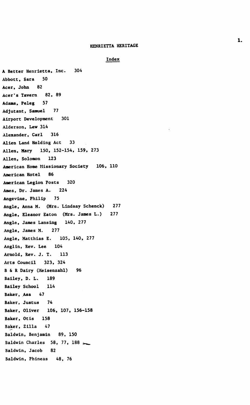## **Index**

**A Better Henrietta, Inc. 304 Abbott, Sara 50 Acer, John 82 Acer's Tavern 82, 89 Adams, Peleg 57 Adjutant, Samuel 77 Airport Development 301 Alderson, Lew 314 Alexander, Carl 316 Alien Land Holding Act 33 Allen, Mary 150, 152-154, 159, 273 Allen, Solomon 123 American Home Missionary Society 106, 110 American Hotel 86 American Legion Posts 320 Ames, Dr. James A. 224 Angevine, Philip 75 Angle, Anna M. (Mrs. Lindsay Schenck) 277 Angle, Eleanor Eaton (Mrs. James L.) 277 Angle, James Lansing 140, 277 Angle, James M. 277 Angle, Matthias E. 105, 140, 277 Anglin, Rev. Lee 104 Arnold, Rev. J. T. 113 Arts Council 323, 324 B & R Dairy (Meisenzahl) 96 Bailey, D. L. 189 Bailey School 114** Baker, Asa 47 **Baker, Justus 74 Baker, Oliver 106, 107, 156-158 Baker, Otis 158 Baker, Zilla 47 Baldwin, Benjamin 89, 150 Baldwin Charles 58, 77, 188 \* ^ Baldwin, Jacob 82 Baldwin, Phineas 48, 76**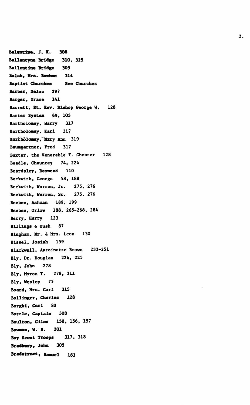**Balemtine, J. K. 308** Ballantyne **Bridge** 310, 325 Ballentlae Bridge 309 Balsh, Mrs. **Boehme** 314 Baptist Churches See Churches Barber, Delos 297 Barger, Grace 141 Barrett, Rt. Rev. Bishop George W. 128 Barter System 69, 105 Bartholomay, Harry 317 Bartholomay, Karl 317 **Baxtholomay,**"Mary Ann 319 Baumgartner, Fred 317 Baxter, the Venerable T. Chester 128 Beadle, Chauncey 74, 224 Beardsley, Raymond 110 Beckwith, George 58, 188 Beckwith, Warren, Jr. 275, 276 Beckwith, Warren, Sr. 275, 276 Beebee, Ashman 189, 199 Beebee, Orlow 188, 265-268, 284 Berry, Harry 123 Billings & Bush 87 Bingham, Mr. & Mrs. Leon 130 Bissel, Josiah 159 Blackwell, Antoinette Brown 233-251 Bly, Dr. Douglas 224, 225 Bly, John 278 Bly, Myron T. 278, 311 Bly, Wesley 75 Board, Mrs. Carl 315 Bollinger, Charles 128 Borghi, Carl 80 Bottle, Captain 308 Boultou, Giles 150, 156, 157 **Bowman, V. B.** 201 Boy Scout Troops 317, 318 **Bradbury,** John 305 **Bradstreet, Samuel** 183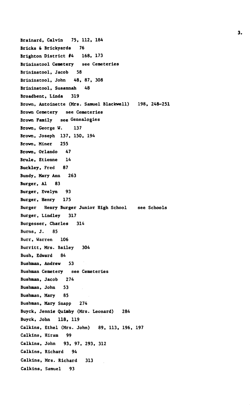```
Brainard, Calvin 75, 112, 184
Bricks & Brickyards 76
Brighton District #4 168, 173
Brininstool Cemetery see Cemeteries
Brininstool, Jacob 58
Brininstool, John 48, 87, 308
Brininstool, Susannah 48
Broadbent, Linda 319
Brown, Antoinette (Mrs. Samuel Blackwell) 198, 248-251
Brown Cemetery see Cemeteries
Brown Family see Genealogies
Brown, George W. 137
Brown, Joseph 137, 150, 194
Brown, Miner 255
Brown, Orlando 47
Brule, Etienne 14
Buckley, Fred 87
Bundy, Mary Ann 263
Burger, Al 83
Burger, Evelyn 93
Burger, Henry 175
Burger Henry Burger Junior High School see Schools
Burger, Lindley 317
Burgesser, Charles 314
Burns, J. 85
Burr, Warren 106
Burritt, Mrs. Bailey 304
Bush, Edward 84
Bushman, Andrew 53
Bushman Cemetery see Cemeteries
Bushman, Jacob 274
Bushman, John 53
Bushman, Mary 85
Bushman, Mary Snapp 274
Buyck, Jennie Quimby (Mrs. Leonard) 284
Buyck, John 118, 119
Calkins, Ethel (Mrs. John) 89, 113, 196, 197
Calkins, Hiram 99
Calkins, John 93, 97, 293, 312
Calkins, Richard 94
Calkins, Mrs. Richard 313
Calkins, Samuel 93
```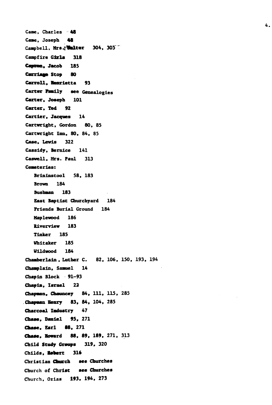```
Came, Charles 48
Came, Joseph 48
Campbell, Mrs.? Halter 304, 305
Caapfire Gixla 318
Canton, Jacob 185
Carriage Stop 80
Carroll, Henrietta 93
Carter Family see Genealogies
Carter, Joseph 101
Carter. Ted 92
Cartler, Jacques 14
Cartwright, Gordon 80, 85
Cartwright Inn, 80, 84, 85
Case, Lewis 322
Cassidy, Bernice 141
Caswell, Mrs. Paul 313
Cemeteries:
   Brlninstool 58, 183
   Brown 184
   Bushman 183
   East Baptist Churchyard 184
   Friends Burial Ground 184
  Haplewood 186
  Riverview 183
   Tinker 185
  Whitaker 185
   Wlldvood 184
Chamberlain , Luther C. 82, 106, 150, 193, 194
Champlain, Samuel 14
Chapin Block 91-93
Chaala, Israel 22
Chapman, Chauncey 84, 111, 115, 285
Chapman Henry 83, 84, 104, 285
Charcoal Industry 47
Chase, Daniel 95, 271
Chase, Earl 88, 271
Chase, Howard 88, 89, 189. 271, 313
Child Study Groups 319, 320
Childs, aafecrt 316
Christian Church see Churches
Church of Christ see Churches
Church, Ozias 193, 194, 273
```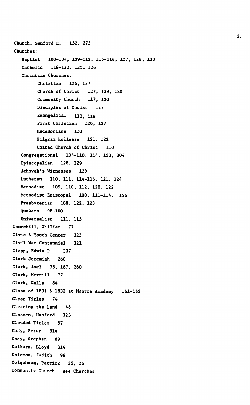**Church, Sanford E. 152, 273 Churches: Baptist 100-104, 109-112, 115-118, 127, 128, 130 Catholic 118-120, 125, 126 Christian Churches: Christian 126, 127 Church of Christ 127, 129, 130 Community Church 117, 120 Disciples of Christ 127 Evangelical no , H 6 First Christian 126, 127 Macedonians 130 Pilgrim Holiness 121, 122 United Church of Christ 110 Congregational 104-110, 114, 150, 304 Episcopalian 128, 129 Jehovah's Witnesses 129 Lutheran 110, 111, 114-116, 121, 124 Methodist 109, 110, 112, 120, 122 Methodist-Episcopal 100, 111-114, 156 Presbyterian 108, 122, 123 Quakers 98-100 Oniversalist 111, 115 Churchill, William 77 Civic & Youth Center 322 Civil War Centennial 321 Clapp, Edwin P. 307 Clark Jeremiah 260 Clark, Joel 75, 187, 260 ' Clark, Merrill 77 Clark, Wells 84 Class of 1831 & 1832 at Monroe Academy 161-163 Clear Titles 74 Clearing the Land 46 Clossen, Hanford 123 Clouded Titles 57 Cody, Peter 314 Cody, Stephen 89 Colburn, Lloyd 314 Coleman, Judith 99** Colquhoux, Patrick 25, 26 **Coranunitv Church see Churches**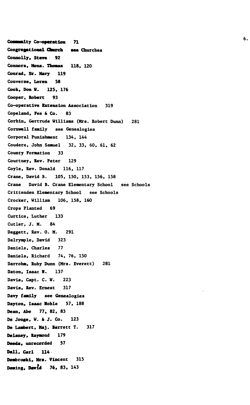Community Co-operation 71 **Congregational Caarch see** Churches Connolly, Steve 92 Connors, Nona. **Thomas** 118, **120** Conrad, Sr. Mary 119 Converse, Loren 58 Cook, Don H. 125, 176 **Cooper, Robert 93 Co-operative Extension** Association 319 Copeland, Fee & **Co.** 83 **Corbin,** Gertrude Williams (Mrs. Robert Dunn) 281 Cornwell family see Genealogies Corporal Punishment 134, 144 Coudere, John Samuel 32, 33, 60, 61, 62 County Formation 33 Courtney, Rev. Peter 129 Coyle, Rev. Donald 116, 117 Crane, David B. 105, 150, 153, 156, 158 Crane David B. Crane Elementary School see Schools Crittenden Elementary School see Schools Crocker, William 106, 158, 160 Crops Planted 69 Curtice, Luther 133 Cutler, J. M. 84 Daggett, Rev. 0. M. 291 Dalrymple, David 323 Daniels, Charles 77 Daniels, Richard 74, 76, 150 Darrohm, Ruby Dunn (Mrs. Everett) 281 Daton, Isaac N. 137 Davis, Capt. C. **W.** 223 **Davis, Rev.** Ernest 317 **Davy family** see Genealogies **Dayton, Isaac Noble 57,** 188 **Dean, Abe 77, 82, 83 De Jonge, W. & J. Co.** 123 **De Lambert, Maj. Barrett T.** 317 **Delaney, Raymond** 179 **Deeds, unrecorded 57 Dell, Carl 114 Dembroski, Mrs.** Vincent 315 Deming, David 76, 83, 143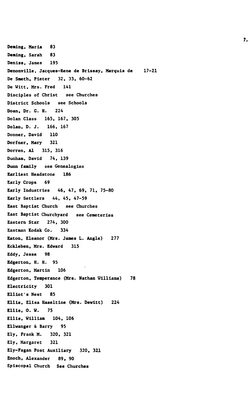**Demlng, Maria 83 Deaing, Sarah 83 Deniss, James 195 Denonville, Jacques-Rene de Brissay, Marquis de 17-21 De Smeth, Pieter 32, 33, 60-62 De Witt, Mrs. Fred 141 Disciples of Christ see Churches District Schools see Schools Doan, Dr. G. H. 224 DoIan Class 165, 167, 305 DoIan, D. J. 166, 167 Donner, David 110 Dorfner, Mary 321 Dorren, Al 315, 316 Dunham, David 74, 139 Dunn family see Genealogies Earliest Headstone 186 Early Crops 69 Early Industries 46, 47, 69, 71, 75-80 Early Settlers 44, 45, 47-59 East Baptist Church see Churches East Baptist Churchyard see Cemeteries Eastern Star 274, 300 Eastman Kodak Co. 334 Eaton, Eleanor (Mrs. James L. Angle) 277 Eckleben, Mrs. Edward 315 Eddy, Jesse 98 Edgerton, H. H. 95 Edgerton, Martin 106 Edgerton, Temperance (Mrs. Nathan Williams) 78 Electricity 301 Elliot's Nest 85 Ellis, Elisa Haseltine (Mrs. Dewltt) 224 Ellis, 0. W. 75 Ellis, William 104, 106 Ellvanger & Barry 95 Ely, Frank M. 320, 321 Ely, Margaret 321 Ely-Fagan Post Auxiliary 320, 321 Enoch, Alexander 89, 90 Episcopal Church See Churches**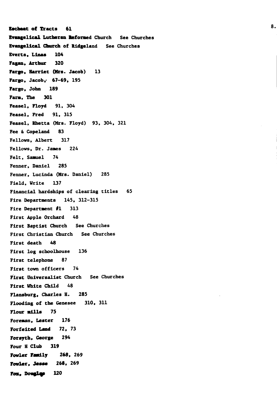**Escheat of** Tracts **61 Evangelical** Lutheran Informed Church See Churches Evangelical Church of Ridgeland See Churches Everts, Linas 104 Pagan, Arthur 320 Fargo, Harriet (Mrs. Jacob) 13 Fargo, Jacob, 67-69, 195 Fargo, John 189 Farm, The 301 Feasel, Floyd 91, 304 Feasel, Fred 91, 315 Feasel, Rhetta (Mrs. Floyd) 93, 304, 321 Fee & Copeland 83 Fellows, Albert 317 Fellows, Dr. Janes 224 Felt, Samuel 74 Fenner, Daniel 285 Fenner, Lucinda (Mrs. Daniel) 285 Field, Write 137 Financial hardships of clearing titles 65 Fire Departments 145, 312-315 Fire Department #1 313 First Apple Orchard 48 First Baptist Church See Churches First Christian Church See Churches First death 48 First log schoolhouse 136 First telephone 87 First town officers 74 First Universalist Church See Churches First White Child 48 Flansburg, Charles H. 285 Flooding of the Genesee 310, 311 Flour **mills** 75 Foreman, Lester 176 Forfeited Land 72, 73 Forsyth, George 294 Four H Club 319 Fowler **Family 268,** 269 **Fowler, Jesse** 268, 269 Fox, Douglas 120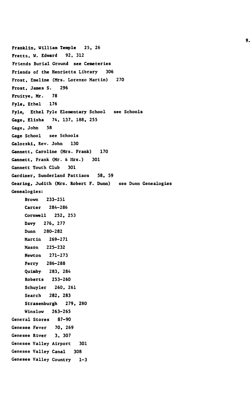**Franklin, William Temple 25, 26 Fretts, W. Edward 92, 312 Friends Burial Ground see Cemeteries Friends of the Henrietta Library 306 Frost, Emeline (Mrs. Lorenzo Martin) 270 Frost, James S. 296 Fruitye, Mr. 78 Fyle, Ethel 176 Fyle, Ethel Fyle Elementary School see Schools Gage, Elisha 74, 137, 188, 255 Gage, John 58 Gage School see Schools Galozski, Rev. John 130 Gannett, Caroline (Mrs. Frank) 170 Gannett, Frank (Mr. & Mrs.) 301 Gannett Youth Club 301 Gardiner, Sunderland Pattison 58, 59 Gearing, Judith (Mrs. Robert F. Dunn) see Dunn Genealogies Genealogies: Brown 233-251 Carter 284-286 Cornwell 252, 253 Davy 276, 277 Dunn 280-282 Martin 269-271 Mason 225-232 Newton 271-273 Perry 286-288 Quimby 283, 284 Roberts 253-260 Schuyler 260, 261 Search 282, 283 Strasenburgh 279, 280 Winslow 263-265 General Stores 87-90 Genesee Fever 70, 269 Genesee River 3, 307 Genesee Valley Airport 301 Genesee Valley Canal 308 Genesee Valley Country 1-3**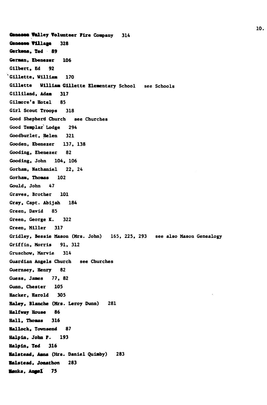**Ganasea Valley Volunteer Fire Company 314** Genesse **Village** 328 Gerkens, Ted 89 **German, Ebenezer** 106 Gilbert. Ed 92 'Gillette, William 170 Gillette William Gillette Elementary School see Schools Gilliland, **Adas** 317 Gilmore's Hotel 85 Girl Scout Troops 318 Good Shepherd Church see Churches Good Templar Lodge 294 Goodburlet, Helen 321 Gooden, Ebenezer 137, 138 Gooding, Ebenezer 82 Gooding, John 104, 106 Gorham, Nathaniel 22, 24 Gorham, Thomas 102 Gould, John 47 Graves, Brother 101 Gray, Capt. Abijah 184 Green, David 85 Green, George K. 322 Green, Miller 317 Gridley, Bessie Mason (Mrs. John) 165, 225, 293 see also Mason Genealogy Griffin, Morris 91, 312 Gruschov, Marvie 314 Guardian Angels Church see Churches Guernsey, Henry 82 Guess, James 77, 82 Gunn, Chester 105 Hacker, Harold 305 Haley, Blanche (Mrs. Leroy Dunn) 281 Halfway House 86 Hall. Thomas 316 Hallock. Tovnsend 87 Balpln, **John P.** 193 Halpln. **Ted** 316 **Halstead, Aana** (Mrs. Daniel Quimby) 283 **Halstead, Jooachon** 283 **Banks. Aofel 75**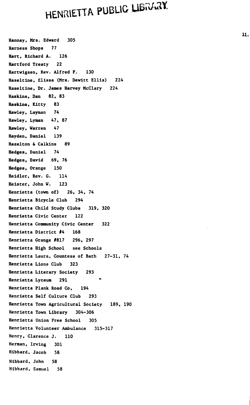## **HENRIETTA PUBLIC LIBRARY**

**Hannay, Mrs. Edward 305 Harness Shops 77 Hart, Richard A. 126 Hartford Treaty 22 Hartvigsen, Rev. Alfred F. 130 Haseltlne. Elissa (Mrs. Dewitt Ellis) 224 Haseltine, Dr. James Harvey McClary 224 Haskins, Dan 82, 83 Haskins, Kitty 83 Hawley, Layman 74 Hawley, Lyman 47, 87 Hawley, Warren 47 Hayden, Daniel 139 Hazelton & Calkins 89 Hedges, Daniel 74 Hedges, David 69, 76 Hedges, Orange 150 Heidler, Rev. G. 114 Heister, John W. 123 Henrietta (town of) 26, 34, 74 Henrietta Bicycle Club 294 Henrietta Child Study Clubs 319, 320 Henrietta Civic Center 122 Henrietta Community Civic Center 322 Henrietta District #4 168 Henrietta Grange #817 296, 297 Henrietta High School see Schools Henrietta Laura, Countess of Bath 27-31, 74 Henrietta Lions Club 323 Henrietta Literary Society 293 Henrietta Lyceum 291 ' Henrietta Plank Road Co, 194 Henrietta Self Culture Club 293 Henrietta Town Agricultural Society 189, 190 Henrietta Town Library 304-306 Henrietta Union Free School 305 Henrietta Volunteer Ambulance 315-317 Henry, Clarence J. 110 Herman, Irving 301 Hibbard, Jacob 58 Hibbard, John 58 Hibbard, Samuel 58**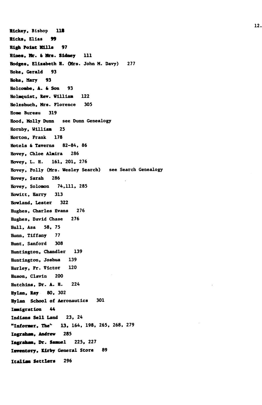Hlckey, Bishop **118** Hicks, Ellas **99 High Point Mills** 97 Hines, **Mr.** & **Bra. Sidney** 111 Hodges, **Elisabeth** H. (Hrs. John M. Davy) 277 Hoke, Gerald 93 Hoke, Mary 93 Holcombe, A. & Son 93 Holmquist, **Rev.** William 122 Holzshuch, Mrs. Florence 305 Home Bureau 319 Hood, Molly Dunn see Dunn Genealogy Hornby, Wllllaa 25 Horton, Frank 178 Hotels & Taverns 82-84, 86 Hovey, Chloe Almira 286 Hovey, L. H. 161, 201, 276 Hovey, Polly (Mrs. Wesley Search) see Search Genealogy Hovey, Sarah 286 Hovey, Solomon 74,111, 285 Howltt, Harry 313 Howland, Lester 322 Hughes, Charles Evans 276 Hughes, David Chase 276 Hull, Asa 58, 75 Hunn, Tiffany 77 Hunt, Sanford 308 Huntington, Chandler 139 Huntington, Joshua 139 Hurley, Fr. Victor 120 Huson, Clavin 200 Hutchlns, Dr. A. H. 224 Hylan, **Ray** 80, 302 Hylan School of Aeronautics 301 Immigration 44 Indians Sell Land 23, 24 **"Informer,** The'" 13, 164, 198, 265, 268, 279 **Ingraham, Andrew** 285 **Ingraham, Dr. Samuel** 225, 227 **Inventory, Kirby** General Store 89 **Italian Settlers** 296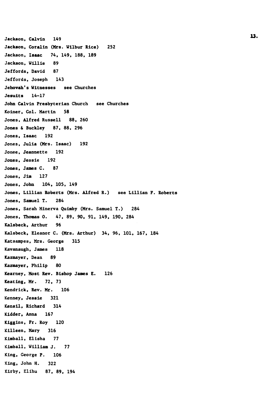```
Jackson, Calvin 149
                       13 'n verskap is 'n verskap is 'n verskap is 'n verskap is 'n verskap is 'n verskap is 'n verskap is 'n verska<br>13 maande, 'n verskap is 'n verskap is 'n verskap is 'n verskap is 'n verskap is 'n verskap is 'n verskap is '
Jackson, Coralin (Mrs. Wilbur Rice) 252
Jackson, Isaac 74, 149, 188, 189
Jackson, Willie 89
Jeffords, David 87
Jeffords, Joseph 143
Jehovah's Witnesses see Churches
Jesuits 14-17
John Calvin Presbyterian Church see Churches
Koiner, Col. Martin 58
Jones, Alfred Russell 88, 260
Jones & Buckley 87, 88, 296
Jones, Isaac 192
Jones, Julia (Mrs. Isaac) 192
Jonee, Jeannette 192
Jones, Jessie 192
Jones, James C. 87
Jones, Jim 127
Jones, John 104, 105, 149
Jones, Lillian Roberts (Mrs. Alfred R.) see Lillian F. Roberts
Jones, Samuel T. 284
Jones, Sarah Minerva Quimby (Mrs. Samuel T.) 284
Jones, Thomas 0. 47, 89, 90, 91, 149, 190, 284
Kalsbeck, Arthur 96
Kalsbeck, Eleanor C. (Mrs. Arthur) 34, 96, 101, 167, 184
Katsampes, Mrs. George 315
Kavanaugh, James 118
Kazmayer, Dean 89
Kazmayer, Philip 80
Kearney, Most Rev. Bishop James E. 126
Keating, Mr. 72, 73
Kendrick, Rev. Mr. 106
Kenney, Jessie 321
Kensil, Richard 314
Kidder, Anna 167
Kiggins, Fr. Roy 120
Killeen, Mary 316
Kimball, Elisha 77
Kimball, William J. 77
King, George P. 106
King, John H. 322
Kirby, Elihu 87, 89, 194
```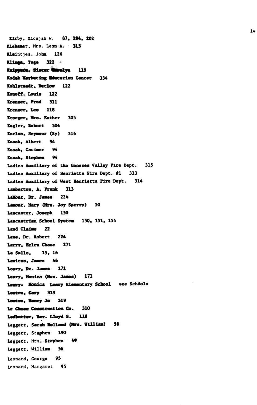**tlrby, Micajah W. 87, 194, 202 Klehamer, Mrs. Leon A. 315 Usintjes, Jotan 126 Klinga, Tage 322 -**Knippure. Sister **Wirelyn** 119 **Kodak Marketing Macation Center 334 Kohlstaedt, Detlov 122 Konoff. loula 122 Krenxer, Fred 311 Krenser, Leo 118 Kroeger, Mrs. Esther 305 Kugler. Robert 304 Kurlan, Seymour (Sy) 316 Kusak, Albert 94 Kusak, Casimer 94 Kusak, Stephen 94 Ladles Auxiliary of the Genesee Valley Fire Dept. 315 Ladies Auxiliary of Henrietta Fire Dept. #1 313 Ladies Auxiliary of West Henrietta Fire Dept. 314 Lamberton, A. Frank 313 LaMont, Dr. Janes 224 Lawmt, Mary (Mrs. Joy Sperry) 50 Lancaster, Joseph 150 Lancastrian School System 150, 151, 154 Land Claims 22 Lane, Dr. Robert 224 Larry, Helen Chase 271 La Salle, 15. 16 Lawless, Janes 46 Leaxy, Dr. Janes 171 Leary, Monica (Mrs. Janes) 171** Leary. Monica Leary Elementary School see Schools **Leaton, Cary 319** Leaton, Nancy Jo 319 **Le Chase Construction Co. 310** Ladhetter, Rev. Lloyd S. 118 **Leggett, Sarah Holland (Mrs. William) 56 Leggett, Stephen 190 Leggett, Mrs. Stephen 49 Leggett, William 56 Leonard, George 95 Leonard, Margaret 95**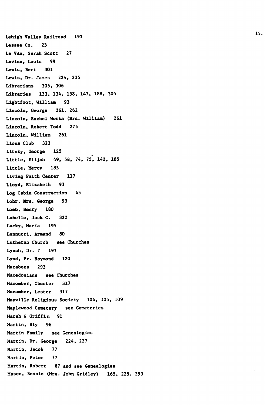**Lehigh Valley Railroad 193 15 'Lessee Co. 23 Le Van, Sarah Scott 27 Levine, Louis 99 Lewis, Bert 301 Lewis, Dr. James 224, 235 Librarians 305, 306 Libraries 133, 134, 138, 147, 188, 305 Lightfoot, William 93 Lincoln, George 261, 262 Lincoln, Rachel Works (Mrs. William) 261 Lincoln, Robert Todd 275 Lincoln, William 261 Lions Club 323 Litsky, George 125 Little, Elijah 49, 58, 74, 75, 142, 185 Little, Mercy 185 Living Faith Center 117 Lloyd, Elizabeth 93 Log Cabin Construction 45 Lohr, Mrs. George 93 Loab, Henry 180 Lubelle, Jack G. 322 Lucky, Maria 195 Lunnutti, Armand 80 Lutheran Church see Churches Lynch, Dr. ? 193 Lynd, Fr. Raymond 120 Macabees 293 Macedonians see Churches Macomber, Chester 317 Macomber, Lester 317 Manville Religious Society 104, 105, 109 Maplewood Cemetery see Cemeteries Marsh & Griffin 91 Martin, Bly 96 Martin Family see Genealogies Martin, Dr. George 224, 227 Martin, Jacob 77 Martin, Peter 77 Martin, Robert 87 and see Genealogies Mason, Bessie (Mrs. John Gridley) 165, 225, 293**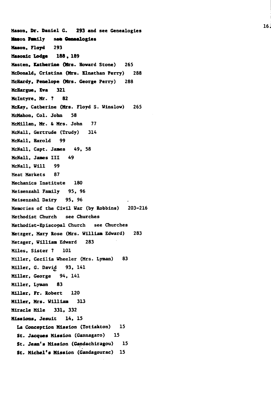**Mason, Dr. Daniel G. 293 and see Genealogies Mason Family** see Genealogies **Mason, Floyd** 293 **Masonic Lodge 188 . 189 Hasten, Catherine (Mrs. Howard Stone)** 265 **McDonald, Cristina (Mrs. Elnathan Perry)** 288 **McHardy, Penelope (Mrs. George Perry)** 288 **McHargue, Eva 321 Mclntyre, Mr. ? 82 McKay,** Catherine **(Mrs.** Floyd S. Winslow) 265 **McMahon,** Col. **John** 58 McMillan, **Mr.** & Mrs. John 77 McNall, Gertrude (Trudy) 314 McNall, Harold 99 McNall, Capt. Janes 49, 58 McNall, Janes III 49 McNall, Will 99 Meat Markets 87 Mechanics Institute 180 Meisenzahl Family 95, 96 Meisenzahl Dairy 95, 96 Memories of the Civil War (by Robbins) 203-216 Methodist Church see Churches Methodist-Episcopal Church see Churches Metzger, Mary Rose (Mrs. William Edward) 283 Metager, William Edward 283 Miles, Sister ? 101 Miller, Cecilia Wheeler (Mrs. Lyman) 83 Miller, G. David 93, 141 Miller, George 94, 141 Miller, Lyman **83 Miller, Fr. Robert 120 Miller, Mrs. William 313 Miracle Mile 331, 332 Missions, Jesuit 14, 15 La Conception Mission (Totiakton) 15 St. Jacques Mission** (Gannagaro) **15 St. Jean's Mission (Gandachiragou) 15 St. Michel's Mission (Gandagourac) 15**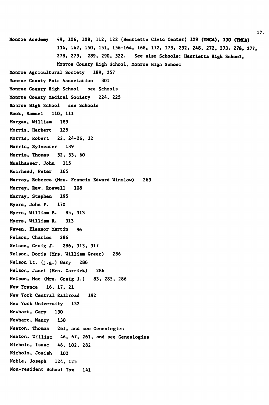Monroe **Academy** 49, 106, 108, 112, 122 (Henrietta Civic Center) 129 **(YMCA), 130 (YKCA)** 134, 142, 150, 151, 156-164, 168, 172, 173, 232, 248, 272, 273. **276,** 277, 278, 279, 289, 290, 322. See also Schools: Henrietta High School, Monroe County High School, Monroe High School Monroe Agricultural Society 189, 257 Monroe County Fair Association 301 Monroe County High School see Schools Monroe County Medical Society 224, 225 Monroe High School see Schools Mook, Samuel 110, 111 Morgan, William 189 Morris, Herbert 125 Morris, Robert 22, 24-26, 32 Morris, Sylvester 139 Morris, Thomas 32, 33, 60 Muelhauser, John 115 Muirhead, Peter 165 Murray, Rebecca (Mrs. Francis Edward Winslow) 263 Murray, Rev. Roswell 108 Murray, Stephen 195 Myers, John F. 170 Myers, William E. 85, 313 Myers, William R. 313 Naven, Eleanor Martin 96 Nelson, Charles 286 Nelson, Craig J. 286, 313, 317 Nelson, Doris (Mrs. William Greer) 286 Nelson Lt. (j.g.) Gary 286 Nelson, Janet (Mrs. Carrick) 286 Nelson, Mae (Mrs. Craig J.) 83, 285, 286 New France 16, 17, 21 New York Central Railroad 192 New York University 132 Newhart, Gary 130  $\sim$ Newhart, Nancy 130 Newton, Thomas 261, and see Genealogies Newton, William 46, 67, 261, and see Genealogies Nichols, Isaac 48, 102, 282 Nichols, Josiah 102 Noble, Joseph 124, 125 Non-resident School Tax 141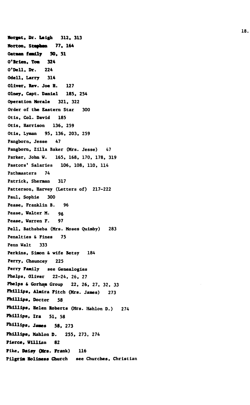**Horgat, Dr. Leigh 312, 313 Norton, Stephen 77, 164 Ottun family SO. 51 O'Brien, Tom 324 O'Dell, Dr. 224 Odell, Larry 314 Oliver, Rev. Joe H. 127 Olney, Capt. Daniel 185, 254 Operation Morale 321, 322 Order of the Eastern Star 300 Otis, Col. David 185 Otis, Harrison 136, 259 Otis, Lyman 95, 136, 203, 259 Pangborn, Jesse 47 Pangborn, Zilla Baker (Mrs. Jesse) 47 Parker, John W. 165, 168, 170, 178, 319 Pastors' Salaries 106, 108, 110, 114 Pathmasters 74 Patrick, Sherman 317 Patterson, Harvey (Letters of) 217-222 Paul, Sophie 300 Pease, Franklin B. 96 Pease, Walter M. 95 Pease, Warren F. 97 Pell, Bathsheba (Mrs. Moses Quimby) 283 Penalties & Fines 75 Penn Walt 333 Perkins, Simon & wife Betsy 184 Perry, Chauncey 225 Perry Family see Genealogies Phelps, Oliver 22-24, 26, 27 Phelps & Gorham Group 22, 26, 27, 32, 33 Phillips, Almlra Fitch (Mrs. James) 273 Phillips, Doctor 58 Phillips, Helen Roberts (Mrs. Mahlon D.) 274 Phillips, Ira 51, 58 Phillip8, James 58. 273 Phillips. Mahlon D. 255, 273, 274 Pierce, William 82 Pike, Daisy (Mrs. Prank) 116 Pilgrim Holiness Church see Churches, Christian**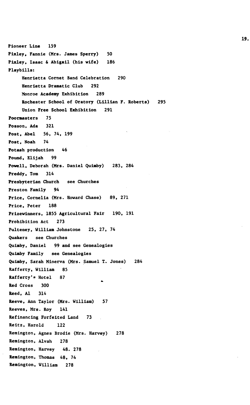**Pioneer Line 159 Pixley, Fannie (Mrs. James Sperry) 50 Pixley, Isaac & Abigail (his wife) 186 Playbills: Henrietta Cornet Band Celebration 290 Henrietta Dramatic Club 292 Monroe Academy Exhibition 289 Rochester School of Oratory (Lillian F. Roberts) 295 Union Free School Exhibition 291 Poormasters 75 Posson, Ada 321 Post, Abel 56, 74, 199 Post, Noah 74 Potash production 46 Pound, Elijah 99 Powell, Deborah (Mrs. Daniel Quimby) 283, 284 Preddy, Tom 314 Presbyterian Church see Churches Preston Family 94 Price, Cornelia (Mrs. Howard Chase) 89, 271 Price, Peter 188 Prizewinners, 1855 Agricultural Fair 190, 191 Prohibition Act 273 Pulteney, William Johnstone 25, 27, 74 Quakers see Churches Quimby, Daniel 99 and see Genealogies Quimby Family see Genealogies Quimby, Sarah Minerva (Mrs. Samuel T. Jones) 284 Rafferty, William 85 Rafferty<sup>1</sup>? Hotel 87 Red Cross 300 Reed, Al 314 Reeve, Ann Taylor (Mrs. William) 57 Reeves, Mrs. Roy 141 Refinancing Forfeited Land 73 Reitz, Harold 122 Remington, Agnes Brodie (Mrs. Harvey) 278 Remington, Alvah 278 Remington, Harvey 48. 278 Remington, Thomas 48, 74 Remington, William 278**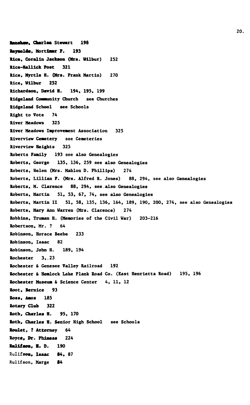**Renshaw, Charles Stewart 198 Reynolds, Mortlmr F. 193 Rice. Coralln Jackson (Mrs. Wilbur)** 2S2 **Rlce-Halllek Post** 321 Rice, Myrtle H. **(Mrs.** Frank Martin) 270 Rice, Wilbur 252 **Richardson. David H.** 194, 195, 199 Ridgeland Community Church see Churches Rldgeland School see Schools Right to Vote 74 River Meadows 325 River Meadows Improvement Association 325 Riverview Cemetery see Cemeteries Rivervlew Heights 325 Roberts Family 193 see also Genealogies Roberts, George 135, 136, 259 see also Genealogies Roberts, Helen (Mrs. Mahlon D. Phillips) 274 Roberts, Lillian F. (Mrs. Alfred R. Jones) 88, 294, see also Genealogies Roberts, M. Clarence 88, 294, see.also Genealogies Roberts, Martin 51, 53, 67, 74, see also Genealogies Roberts, Martin II 51, 58, 135, 136, 164, 189, 190, 200, 274, see also Genealogies Roberts, Mary Ann Warren (Mrs. Clarence) 274 Robbins, Truman H. (Memories of the Civil War) 203-216 Robertson, Mr. ? 64 Robinson, Horace Beebe 233 Robinson, Isaac 82 Robinson, John H. 189, 194 Rochester 3,-23 Rochester & Genesee Valley Railroad 192 Rochester & Hemlock Lake Plank Road Co. (East Henrietta Road) 195, 196 Rochester Museum & Science Center 4, 11, 12 Root, Bernice 93 **Ross, Amos** 185 **Rotary Club** 322 **Roth, Charles H.** 95, 170 **Roth, Charles H.** Senior High School see Schools **Roulet,** ? **Attorney** 64 Royce, **Dr. Phlaeas** 224 **lullfson, H.** D. 190 Rulifsoa, **Isaac 84,** 87 Rulifson, Marge 84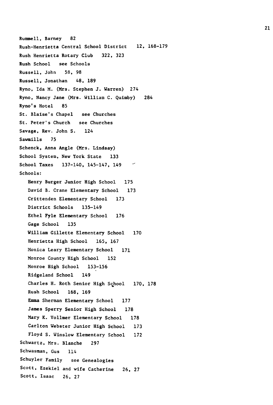**Rummell, Barney 82 Rush-Henrietta Central School District 12, 168-179 Rush Henrietta Rotary Club 322, 323 Rush School see Schools Russell, John 58, 98 Russell, Jonathan 48, 189 Ryno, Ida M. (Mrs. Stephen J. Warren) 274 Ryno, Nancy Jane (Mrs. William C. Quimby) 284 Ryno's Hotel 85 St. Blaise's Chapel see Churches St. Peter's Church see Churches Savage, Rev. John S. 124 Sawmills 75 Schenck, Anna Angle (Mrs. Lindsay) School System, New York State 133 School Taxes 137-140, 145-147, 149 Schools: Henry Burger Junior High School 175 David B. Crane Elementary School 173 Crittenden Elementary School 173 District Schools 135-149 Ethel Fyle Elementary School 176 Gage School 135 William Gillette Elementary School 170 Henrietta High School 165, 167 Monica Leary Elementary School 171 Monroe County High School 152 Monroe High School 153-156 Ridgeland School 149 Charles H. Roth Senior High School 170, 178 Rush School 168, 169 Emma Sherman Elementary School 177 James Sperry Senior High School 178 Mary K. Vollmer Elementary School 178 Carlton Webster Junior High School 173 Floyd S. Winslow Elementary School 172 Schwartz, Mrs. Blanche 297 Schwasman, Gus 114 Schuyler Family see Genealogies Scott, Ezekiel and wife Catherine 26, 27 Scott, Isaac 26, 27**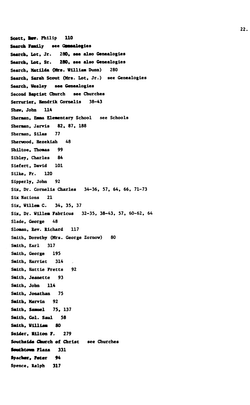**Scott. Wm. Philip 110 Search Family** see Gunnalogies Search, Lot, Jr. 280, see also Genealogies **Search. Lot, Sr. 280, see also Genealogies Search, Matilda (Mrs. William Dunn) 280 Search, Sarah Scout (Mrs. Lot, Jr.) see Genealogies Search, Wesley see Genealogies Second Baptist Church see Churches Serrurier, Hendrlk Cornells 38-43 Shaw, John 114 Sherman, Emma Elementary School see Schools Sherman, Jarvis 82, 87, 188 Sherman, Silas 77 Sherwood, Hezekiah 48 Shiltoe, Thomas 99 Sibley, Charles 84 Siefert, David 101 Silke, Fr. 120 Sipperly, John 92 Six, Dr. Cornells Charles 34-36, 57, 64, 66, 71-73 Six Nations 21 Six, Willem C. 34, 35, 37 Six, Dr. Willem Fabricus 32-35, 38-43, 57, 60-62, 64 Slade, George 48 Sloman, Rev. Richard 117 Smith, Dorothy (Mrs. George Zornov) 80 Smith, Earl 317 Smith, George 195 Smith, Harriet 314 Smith, Hattie Fretts 92 Smith, Jeanette 93 Smith. John 114 Smith, Jonathan 75 Smith, Marvin 92 Smith, Samuel 75, 137 Smith, Col. Saul 58 Smith, William 80 Snider, Hilton F. 279 Southslde Church of Christ see Churches SoutbtOMB Plaza 331 Spachcr, Peter 94 Spence, Ralph 317**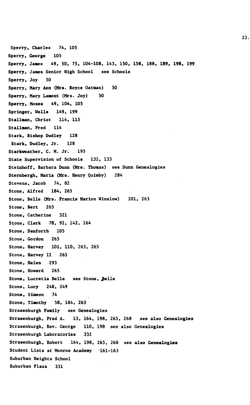**Sperry, Charles 74, 105 Sperry, George 105 Sperry. Janes 49, 50, 75, 104-108, 143, 150, 158, 188, 189, 198, 199 Sperry, James Senior High School see Schools Sperry, Joy 50 Sperry, Mary Ana (Mrs. Royce Oatman) 50 Sperry. Mary Lamont (Mrs. Joy) 50 Sperry, Moses 49, 104, 105 Springer, Wells 149, 199 Stallnan, Christ 114, 115 Stallman, Fred 114 Stark, Bishop Dudley 128 Stark, Dudley, Jr. 128 Starkweather, C. M. Jr. 195 State Supervision of Schools 132, 133 Steinhoff, Barbara Dunn (Mrs. Thomas) see Dunn Genealogies Sternbergh, Maria (Mrs. Henry Quimby) 284 Stevens, Jacob 74, 82 Stone, Alfred 184, 265 Stone, Belle (Mrs. Francis Marion Winslow) 101, 263 Stone, Bert 265 Stone, Catherine 321 Stone, Clark 78, 92, 142. 164 Stone, Danforth 105 Stone, Gordon 265 Stone, Harvey 101, 110, 263, 265 Stone, Harvey II 265 Stone, Helen 293 Stone, Howard 265** Stone, Lucretia Belle see Stone, Belle **Stone, Lucy 248, 249 Stone, Simeon 74 Stone, Timothy 58, 184, 263 Strasenburgh Family see Genealogies Strasenburgh, Fred A. 13, 164, 198, 265, 268 see also Genealogies Strasenburgh, Rev. George 110, 198 see also Genealogies Strasenburgh Laboratories 332 Strasenburgh, Robert 164, 198, 265, 268 see also Genealogies Student Lists at Monroe Academy -161-163 Suburban Heights School Suburban Plaza 331**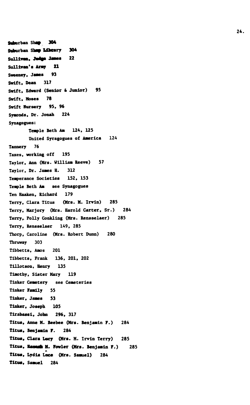Suburban Sham 304 **Suburban Step Library 304 Sullivan. Joim\* 3mea 22 Sullivan's Army 21 Sweeney, James 93 Swift. Dean 317 Swift, Edward (Senior & Junior) 95 Swift, Moses 78 Swift Hursery 95, 96 Syaonds, Dr. Jonah 224 Synagogues: Teaple Beth Am 124, 125 United Syragogues of America 124 Tannery 76 Taxes, working off 195 Taylor, Ann (Mrs. William Reeve) 57 Taylor, Dr. James H. 312 Teaperance Societies 152, 153 Teaple Beth Aa see Synagogues Ten Haaken, Richard 179 Terry, Clara Titus (Mrs. M. Irvin) 285 Terry, Marjory (Mrs. Harold Carter, Sr.) 284 Terry, Polly Conkling (Mrs. Rensselaer) 285 Terry, Rensselaer 149, 285 Thorp, Caroline (Mrs. Robert Dunn) 280 Thruway 303 Tibbetts, Amos 201 Tlbbetts, Frank 136, 201, 202 Tillotson, Henry 135 Timothy, Sister Mary 119 Tinker Cemetery see Cemeteries Tinker Family 55 Tinker, James 53 Tinker, Joseph 105 Tlrabassl. John 296, 317 Titus, Anne M. Beebee (Mrs. Benjamin F.) 284 Titus, Benjamin F. 284 Titus, Clara Lucy (Mrs. M. Irvin Terry) 285 Titus, Haaaaa M. Fowler (Mrs. Benjamin F.) 285 Titus, Lydla Lace (Mrs. Samuel) 284 Tltua, Samuel 284**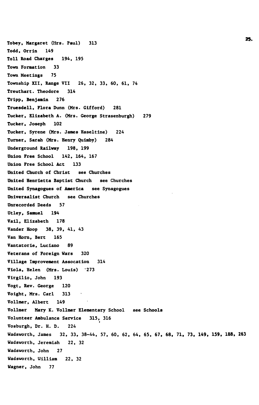**Tobey, Margaret (Mrs. Paul) 313 Todd, Orrln 149 Toll Road Charges 194, 195 Town Formation 33 Town Meetings 75 Township XII, Range VII 26, 32, 33, 60, 61, 74 Treuthart. Theodore 314 Tripp, Benjamin 276 Truesdell, Flora Dunn (Mrs. Gifford) 281 Tucker, Elizabeth A. (Mrs. George Strasenburgh) 279 Tucker, Joseph 102 Tucker, Syrene (Mrs. James Haseltine) 224 Turner, Sarah (Mrs. Henry Quimby) 284 Underground Railway 198, 199 Union Free School 142, 164, 167 Union Free School Act 133 United Church of Christ see Churches United Henrietta Baptist Church see Churches United Synagogues of America see Synagogues Universalist Church see Churches Unrecorded Deeds 57 Utley, Samuel 194 Vail, Elizabeth 178 Vander Hoop 38, 39, 41, 43 Van Horn, Bert 165 Vantatorie, Luciano 89 Veterans of Foreign Wars 320 Village Improvement Assocation 314 Viola, Helen (Mrs. Louis) '273 Virgilio, John 193 Vogt, Rev. George 120 Voight, Mrs. Carl 313 Vollmer, Albert 149 Vollmer Mary K. Vollmer Elementary School see Schools Volunteer Ambulance Service 315, 316 Vosburgh, Dr. H. D. 224 Wadsworth, James 32, 33, 38-44, 57, 60, 62, 64, 65, 67, 68, 71, 73, 149, 159, 188, 263 Wadsworth, Jeremiah 22, 32 Wadsworth, John 27 Wadsworth, William 22, 32 Wagner, John 77**

2S>.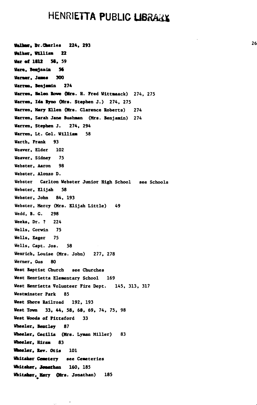## **HENRIETTA PUBLIC LIBRARY**

AUK , **Br.Char**lea **224, 293 2 6 Walker. William 22 War of 1812 SS, 59 Kin , Benjamin 56 Warner, Jaaes 300 Warren, Benjamin 274 Warren, Helen lone (Mrs. H.** Fred Wlttaaack) 274, 275 **Warren, Ida Ryno (Mrs.** Stephen **J.)** 274, 275 **Warren, Mary** Ellen (Mrs. Clarence Roberts) 274 **Warren,** Sarah **Jane Bushman** (Mrs. Benjamin) 274 **Warren. Stephen J.** 274, 294 **Warren, Lt. Col. William** 58 Warth, Frank 93 Weaver, Elder 102 Weaver, Sidney 75 Webster, Aaron 98 Webster, Alonzo D. Webster Carlton Webster Junior High School see Schools Webster, Elijah 58 Webster, John 84, 193 Webster, Mercy (Mrs. Elijah Little) 49 Wedd, B. G. 298 Weeks, Dr. ? 224 Wells, Corwin 75 Wells, Eager 75 Wells, Capt. Jos. 58 Wenrich, Louise (Mrs. John) 277, 278 Werner, Gus 80 West Baptist Church see Churches West Henrietta Elementary School 169 West Henrietta Volunteer Fire Dept. 145, 313, 317 Westminster **Park** 85 **West** Shore Railroad 192, 193 **West Town 33, 44, 58, 68, 69,** 74, **75, 98 West Woods of** Pittsford 33 **Wheeler, Bentley 87 Wheeler.** Cecilia **(Mrs.** Lyman Miller) 83 **Wheeler, Hiram 83 Wheeler, Rev. Otis** 101 **Whltaker Cemetery** see Cemeteries **Whitaker, Jonathan** 160, 185 Whi**taker, Mary (Mrs. Jonathan)** 185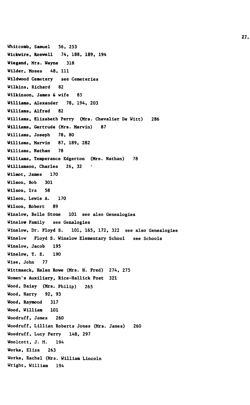**Whitcomb, Samuel 56, 253 Wickvire, Roswell 74, 188, 189, 194 Wiegand, Mrs. Wayne 318 Wilder, Moses 48, 111 Wildwood Cemetery see Cemeteries Wilkins, Richard 82 Wilkinson, James & wife 85 Williams, Alexander 78, 194, 203 Williams, Alfred 82 Williams, Elizabeth Perry (Mrs. Chevalier De Witt) 286 Williams, Gertrude (Mrs. Marvin) 87 Williams, Joseph 78, 80 Williams, Marvin 87, 189, 282 Williams, Nathan 78 Williams, Temperance Edgerton (Mrs. Nathan) 78 Williamson, Charles 26, 32**  $\sim$ **Wilmot, James 170 Wilson, Bob 301 Wilson, Ira 58 Wilson, Lewis A. 170 Wilson, Robert 89 Winslow, Belle Stone 101 see also Genealogies Winslow Family see Genalogies Winslow, Dr. Floyd S. 101, 165, 172, 322 see also Genealogies Winslow Floyd S. Winslow Elementary School see Schools Winslow, Jacob 195 Winslow, T. E. 190 Wise, John 77 Wittmaack, Helen Rowe (Mrs. H. Fred) 274, 275 Women's Auxiliary, Rice-Hallick Post 321 Wood, Daisy (Mrs. Philip) 265 Wood, Harry 92, 93 Wood, Raymond 317 Wood, William 101 Woodruff, James 260 Woodruff, Lillian Roberts Jones (Mrs. James) 260 Woodruff, Lucy Perry 148, 297 Woolcott, J. M. 194 Works, Eliza 263 Works, Rachel (Mrs. William Lincoln Wright, William 194**